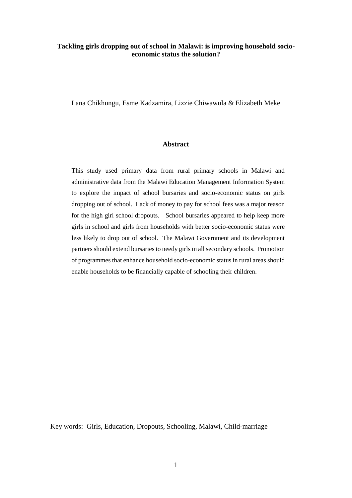# **Tackling girls dropping out of school in Malawi: is improving household socioeconomic status the solution?**

Lana Chikhungu, Esme Kadzamira, Lizzie Chiwawula & Elizabeth Meke

#### **Abstract**

This study used primary data from rural primary schools in Malawi and administrative data from the Malawi Education Management Information System to explore the impact of school bursaries and socio-economic status on girls dropping out of school. Lack of money to pay for school fees was a major reason for the high girl school dropouts. School bursaries appeared to help keep more girls in school and girls from households with better socio-economic status were less likely to drop out of school. The Malawi Government and its development partners should extend bursaries to needy girls in all secondary schools. Promotion of programmes that enhance household socio-economic status in rural areas should enable households to be financially capable of schooling their children.

Key words: Girls, Education, Dropouts, Schooling, Malawi, Child-marriage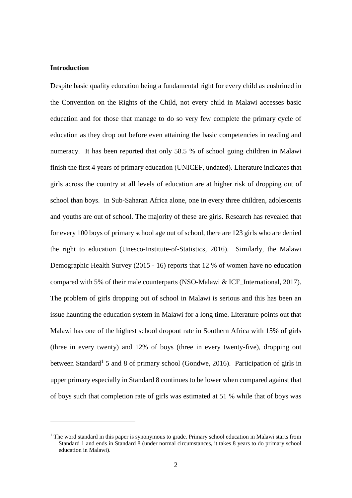# **Introduction**

1

Despite basic quality education being a fundamental right for every child as enshrined in the Convention on the Rights of the Child, not every child in Malawi accesses basic education and for those that manage to do so very few complete the primary cycle of education as they drop out before even attaining the basic competencies in reading and numeracy. It has been reported that only 58.5 % of school going children in Malawi finish the first 4 years of primary education [\(UNICEF, undated\)](#page-31-0). Literature indicates that girls across the country at all levels of education are at higher risk of dropping out of school than boys. In Sub-Saharan Africa alone, one in every three children, adolescents and youths are out of school. The majority of these are girls. Research has revealed that for every 100 boys of primary school age out of school, there are 123 girls who are denied the right to education [\(Unesco-Institute-of-Statistics, 2016\)](#page-31-1). Similarly, the Malawi Demographic Health Survey (2015 - 16) reports that 12 % of women have no education compared with 5% of their male counterparts [\(NSO-Malawi & ICF\\_International, 2017\)](#page-31-2). The problem of girls dropping out of school in Malawi is serious and this has been an issue haunting the education system in Malawi for a long time. Literature points out that Malawi has one of the highest school dropout rate in Southern Africa with 15% of girls (three in every twenty) and 12% of boys (three in every twenty-five), dropping out between Standard<sup>1</sup> 5 and 8 of primary school [\(Gondwe, 2016\)](#page-29-0). Participation of girls in upper primary especially in Standard 8 continues to be lower when compared against that of boys such that completion rate of girls was estimated at 51 % while that of boys was

 $1$  The word standard in this paper is synonymous to grade. Primary school education in Malawi starts from Standard 1 and ends in Standard 8 (under normal circumstances, it takes 8 years to do primary school education in Malawi).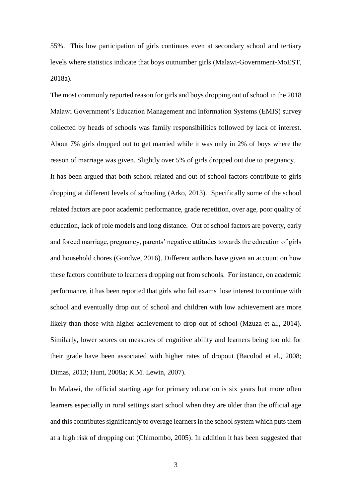55%. This low participation of girls continues even at secondary school and tertiary levels where statistics indicate that boys outnumber girls [\(Malawi-Government-MoEST,](#page-30-0)  [2018a\)](#page-30-0).

The most commonly reported reason for girls and boys dropping out of school in the 2018 Malawi Government's Education Management and Information Systems (EMIS) survey collected by heads of schools was family responsibilities followed by lack of interest. About 7% girls dropped out to get married while it was only in 2% of boys where the reason of marriage was given. Slightly over 5% of girls dropped out due to pregnancy. It has been argued that both school related and out of school factors contribute to girls dropping at different levels of schooling [\(Arko, 2013\)](#page-29-1). Specifically some of the school related factors are poor academic performance, grade repetition, over age, poor quality of education, lack of role models and long distance. Out of school factors are poverty, early and forced marriage, pregnancy, parents' negative attitudes towards the education of girls and household chores [\(Gondwe, 2016\)](#page-29-0). Different authors have given an account on how these factors contribute to learners dropping out from schools. For instance, on academic performance, it has been reported that girls who fail exams lose interest to continue with school and eventually drop out of school and children with low achievement are more likely than those with higher achievement to drop out of school [\(Mzuza et al., 2014\)](#page-30-1). Similarly, lower scores on measures of cognitive ability and learners being too old for their grade have been associated with higher rates of dropout [\(Bacolod et al., 2008;](#page-29-2) [Dimas, 2013;](#page-29-3) [Hunt, 2008a;](#page-30-2) [K.M. Lewin, 2007\)](#page-30-3).

In Malawi, the official starting age for primary education is six years but more often learners especially in rural settings start school when they are older than the official age and this contributes significantly to overage learners in the school system which puts them at a high risk of dropping out [\(Chimombo, 2005\)](#page-29-4). In addition it has been suggested that

3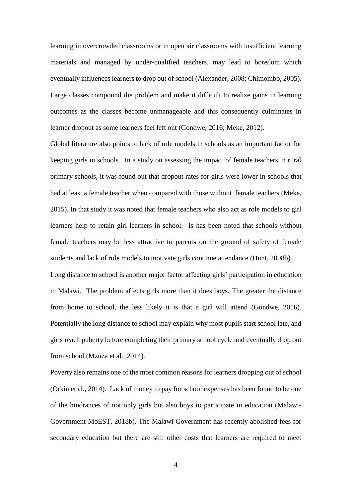learning in overcrowded classrooms or in open air classrooms with insufficient learning materials and managed by under-qualified teachers, may lead to boredom which eventually influences learners to drop out of school [\(Alexander, 2008;](#page-29-5) [Chimombo, 2005\)](#page-29-4). Large classes compound the problem and make it difficult to realize gains in learning outcomes as the classes become unmanageable and this consequently culminates in learner dropout as some learners feel left out [\(Gondwe, 2016;](#page-29-0) [Meke, 2012\)](#page-30-4).

Global literature also points to lack of role models in schools as an important factor for keeping girls in schools. In a study on assessing the impact of female teachers in rural primary schools, it was found out that dropout rates for girls were lower in schools that had at least a female teacher when compared with those without female teachers [\(Meke,](#page-30-5)  [2015\)](#page-30-5). In that study it was noted that female teachers who also act as role models to girl learners help to retain girl learners in school. Is has been noted that schools without female teachers may be less attractive to parents on the ground of safety of female students and lack of role models to motivate girls continue attendance [\(Hunt, 2008b\)](#page-30-6).

Long distance to school is another major factor affecting girls' participation in education in Malawi. The problem affects girls more than it does boys. The greater the distance from home to school, the less likely it is that a girl will attend [\(Gondwe, 2016\)](#page-29-0). Potentially the long distance to school may explain why most pupils start school late, and girls reach puberty before completing their primary school cycle and eventually drop out from school [\(Mzuza et al., 2014\)](#page-30-1).

Poverty also remains one of the most common reasons for learners dropping out of school [\(Orkin et al., 2014\)](#page-31-3). Lack of money to pay for school expenses has been found to be one of the hindrances of not only girls but also boys to participate in education [\(Malawi-](#page-30-7)[Government-MoEST, 2018b\)](#page-30-7). The Malawi Government has recently abolished fees for secondary education but there are still other costs that learners are required to meet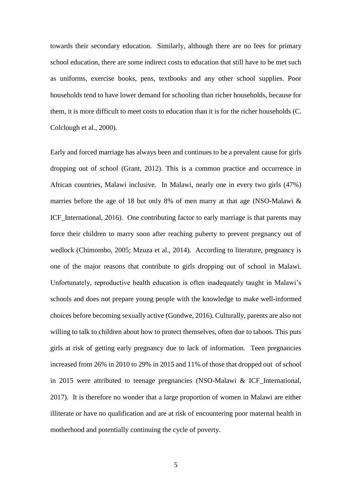towards their secondary education. Similarly, although there are no fees for primary school education, there are some indirect costs to education that still have to be met such as uniforms, exercise books, pens, textbooks and any other school supplies. Poor households tend to have lower demand for schooling than richer households, because for them, it is more difficult to meet costs to education than it is for the richer households [\(C.](#page-29-6)  [Colclough et al., 2000\)](#page-29-6).

Early and forced marriage has always been and continues to be a prevalent cause for girls dropping out of school [\(Grant, 2012\)](#page-29-7). This is a common practice and occurrence in African countries, Malawi inclusive. In Malawi, nearly one in every two girls (47%) marries before the age of 18 but only 8% of men marry at that age (NSO-Malawi & ICF International, 2016). One contributing factor to early marriage is that parents may force their children to marry soon after reaching puberty to prevent pregnancy out of wedlock [\(Chimombo, 2005;](#page-29-4) [Mzuza et al., 2014\)](#page-30-1). According to literature, pregnancy is one of the major reasons that contribute to girls dropping out of school in Malawi. Unfortunately, reproductive health education is often inadequately taught in Malawi's schools and does not prepare young people with the knowledge to make well-informed choices before becoming sexually active [\(Gondwe, 2016\)](#page-29-0). Culturally, parents are also not willing to talk to children about how to protect themselves, often due to taboos. This puts girls at risk of getting early pregnancy due to lack of information. Teen pregnancies increased from 26% in 2010 to 29% in 2015 and 11% of those that dropped out of school in 2015 were attributed to teenage pregnancies [\(NSO-Malawi & ICF\\_International,](#page-31-2)  [2017\)](#page-31-2). It is therefore no wonder that a large proportion of women in Malawi are either illiterate or have no qualification and are at risk of encountering poor maternal health in motherhood and potentially continuing the cycle of poverty.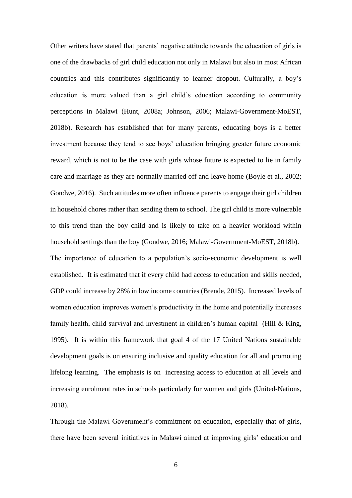Other writers have stated that parents' negative attitude towards the education of girls is one of the drawbacks of girl child education not only in Malawi but also in most African countries and this contributes significantly to learner dropout. Culturally, a boy's education is more valued than a girl child's education according to community perceptions in Malawi [\(Hunt, 2008a;](#page-30-2) [Johnson, 2006;](#page-30-9) [Malawi-Government-MoEST,](#page-30-7)  [2018b\)](#page-30-7). Research has established that for many parents, educating boys is a better investment because they tend to see boys' education bringing greater future economic reward, which is not to be the case with girls whose future is expected to lie in family care and marriage as they are normally married off and leave home [\(Boyle et al., 2002;](#page-29-8) [Gondwe, 2016\)](#page-29-0). Such attitudes more often influence parents to engage their girl children in household chores rather than sending them to school. The girl child is more vulnerable to this trend than the boy child and is likely to take on a heavier workload within household settings than the boy [\(Gondwe, 2016;](#page-29-0) [Malawi-Government-MoEST, 2018b\)](#page-30-7). The importance of education to a population's socio-economic development is well established. It is estimated that if every child had access to education and skills needed, GDP could increase by 28% in low income countries [\(Brende, 2015\)](#page-29-9). Increased levels of women education improves women's productivity in the home and potentially increases family health, child survival and investment in children's human capital (Hill  $\&$  King, [1995\)](#page-29-10). It is within this framework that goal 4 of the 17 United Nations sustainable development goals is on ensuring inclusive and quality education for all and promoting lifelong learning. The emphasis is on increasing access to education at all levels and increasing enrolment rates in schools particularly for women and girls [\(United-Nations,](#page-31-4)  [2018\)](#page-31-4).

Through the Malawi Government's commitment on education, especially that of girls, there have been several initiatives in Malawi aimed at improving girls' education and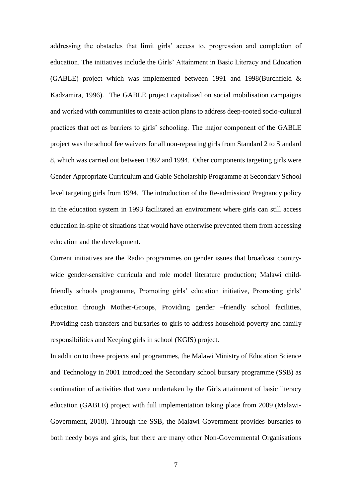addressing the obstacles that limit girls' access to, progression and completion of education. The initiatives include the Girls' Attainment in Basic Literacy and Education (GABLE) project which was implemented between 1991 and 1998[\(Burchfield &](#page-29-11)  [Kadzamira, 1996\)](#page-29-11). The GABLE project capitalized on social mobilisation campaigns and worked with communities to create action plans to address deep-rooted socio-cultural practices that act as barriers to girls' schooling. The major component of the GABLE project was the school fee waivers for all non-repeating girls from Standard 2 to Standard 8, which was carried out between 1992 and 1994. Other components targeting girls were Gender Appropriate Curriculum and Gable Scholarship Programme at Secondary School level targeting girls from 1994. The introduction of the Re-admission/ Pregnancy policy in the education system in 1993 facilitated an environment where girls can still access education in-spite of situations that would have otherwise prevented them from accessing education and the development.

Current initiatives are the Radio programmes on gender issues that broadcast countrywide gender-sensitive curricula and role model literature production; Malawi childfriendly schools programme, Promoting girls' education initiative, Promoting girls' education through Mother-Groups, Providing gender –friendly school facilities, Providing cash transfers and bursaries to girls to address household poverty and family responsibilities and Keeping girls in school (KGIS) project.

In addition to these projects and programmes, the Malawi Ministry of Education Science and Technology in 2001 introduced the Secondary school bursary programme (SSB) as continuation of activities that were undertaken by the Girls attainment of basic literacy education (GABLE) project with full implementation taking place from 2009 [\(Malawi-](#page-30-10)[Government, 2018\)](#page-30-10). Through the SSB, the Malawi Government provides bursaries to both needy boys and girls, but there are many other Non-Governmental Organisations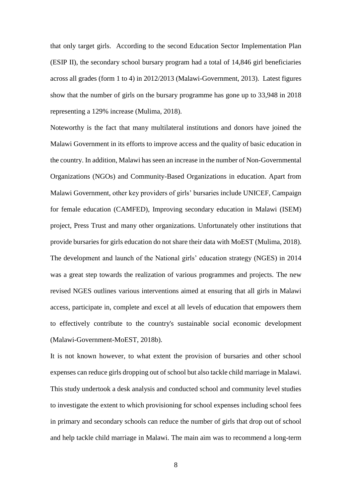that only target girls. According to the second Education Sector Implementation Plan (ESIP II), the secondary school bursary program had a total of 14,846 girl beneficiaries across all grades (form 1 to 4) in 2012/2013 [\(Malawi-Government, 2013\)](#page-30-11). Latest figures show that the number of girls on the bursary programme has gone up to 33,948 in 2018 representing a 129% increase [\(Mulima, 2018\)](#page-30-12).

Noteworthy is the fact that many multilateral institutions and donors have joined the Malawi Government in its efforts to improve access and the quality of basic education in the country. In addition, Malawi has seen an increase in the number of Non-Governmental Organizations (NGOs) and Community-Based Organizations in education. Apart from Malawi Government, other key providers of girls' bursaries include UNICEF, Campaign for female education (CAMFED), Improving secondary education in Malawi (ISEM) project, Press Trust and many other organizations. Unfortunately other institutions that provide bursaries for girls education do not share their data with MoEST [\(Mulima, 2018\)](#page-30-12). The development and launch of the National girls' education strategy (NGES) in 2014 was a great step towards the realization of various programmes and projects. The new revised NGES outlines various interventions aimed at ensuring that all girls in Malawi access, participate in, complete and excel at all levels of education that empowers them to effectively contribute to the country's sustainable social economic development [\(Malawi-Government-MoEST, 2018b\)](#page-30-7).

It is not known however, to what extent the provision of bursaries and other school expenses can reduce girls dropping out of school but also tackle child marriage in Malawi. This study undertook a desk analysis and conducted school and community level studies to investigate the extent to which provisioning for school expenses including school fees in primary and secondary schools can reduce the number of girls that drop out of school and help tackle child marriage in Malawi. The main aim was to recommend a long-term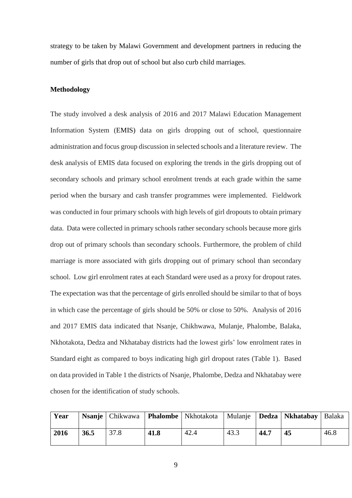strategy to be taken by Malawi Government and development partners in reducing the number of girls that drop out of school but also curb child marriages.

#### **Methodology**

The study involved a desk analysis of 2016 and 2017 Malawi Education Management Information System (EMIS) data on girls dropping out of school, questionnaire administration and focus group discussion in selected schools and a literature review. The desk analysis of EMIS data focused on exploring the trends in the girls dropping out of secondary schools and primary school enrolment trends at each grade within the same period when the bursary and cash transfer programmes were implemented. Fieldwork was conducted in four primary schools with high levels of girl dropouts to obtain primary data. Data were collected in primary schools rather secondary schools because more girls drop out of primary schools than secondary schools. Furthermore, the problem of child marriage is more associated with girls dropping out of primary school than secondary school. Low girl enrolment rates at each Standard were used as a proxy for dropout rates. The expectation was that the percentage of girls enrolled should be similar to that of boys in which case the percentage of girls should be 50% or close to 50%. Analysis of 2016 and 2017 EMIS data indicated that Nsanje, Chikhwawa, Mulanje, Phalombe, Balaka, Nkhotakota, Dedza and Nkhatabay districts had the lowest girls' low enrolment rates in Standard eight as compared to boys indicating high girl dropout rates (Table 1). Based on data provided in Table 1 the districts of Nsanje, Phalombe, Dedza and Nkhatabay were chosen for the identification of study schools.

| Year |      |      |      | <b>Nsanje</b>   Chikwawa   <b>Phalombe</b>   Nkhotakota |      |      | Mulanje   Dedza   Nkhatabay   Balaka |      |
|------|------|------|------|---------------------------------------------------------|------|------|--------------------------------------|------|
| 2016 | 36.5 | 37.8 | 41.8 | 42.4                                                    | 43.3 | 44.7 | 45                                   | 46.8 |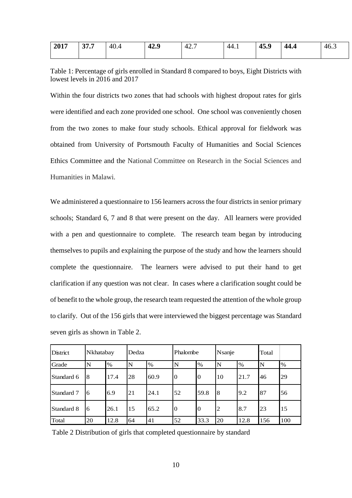| $-2017$ | 37.7 | 40.4 | 42.9 | 42. | 44.1 | 45.9 | 44.4 | $-46.$ |
|---------|------|------|------|-----|------|------|------|--------|
|         |      |      |      |     |      |      |      |        |

| Table 1: Percentage of girls enrolled in Standard 8 compared to boys, Eight Districts with |  |
|--------------------------------------------------------------------------------------------|--|
| lowest levels in 2016 and 2017                                                             |  |

Within the four districts two zones that had schools with highest dropout rates for girls were identified and each zone provided one school. One school was conveniently chosen from the two zones to make four study schools. Ethical approval for fieldwork was obtained from University of Portsmouth Faculty of Humanities and Social Sciences Ethics Committee and the National Committee on Research in the Social Sciences and Humanities in Malawi.

We administered a questionnaire to 156 learners across the four districts in senior primary schools; Standard 6, 7 and 8 that were present on the day. All learners were provided with a pen and questionnaire to complete. The research team began by introducing themselves to pupils and explaining the purpose of the study and how the learners should complete the questionnaire. The learners were advised to put their hand to get clarification if any question was not clear. In cases where a clarification sought could be of benefit to the whole group, the research team requested the attention of the whole group to clarify. Out of the 156 girls that were interviewed the biggest percentage was Standard seven girls as shown in Table 2.

| <b>District</b> | Nkhatabay |      | Dedza |      | Phalombe       |      | Nsanje         |      | Total |     |
|-----------------|-----------|------|-------|------|----------------|------|----------------|------|-------|-----|
| Grade           | N         | $\%$ | N     | $\%$ | N              | $\%$ | $\mathbf N$    | $\%$ | N     | %   |
| Standard 6      | 8         | 17.4 | 28    | 60.9 | $\overline{0}$ | 10   | 10             | 21.7 | 46    | 29  |
| Standard 7      | 6         | 6.9  | 21    | 24.1 | 52             | 59.8 | 8              | 9.2  | 87    | 56  |
| Standard 8      | 6         | 26.1 | 15    | 65.2 | 0              | 10   | $\overline{2}$ | 8.7  | 23    | 15  |
| Total           | 20        | 12.8 | 64    | 41   | 52             | 33.3 | 20             | 12.8 | 156   | 100 |

Table 2 Distribution of girls that completed questionnaire by standard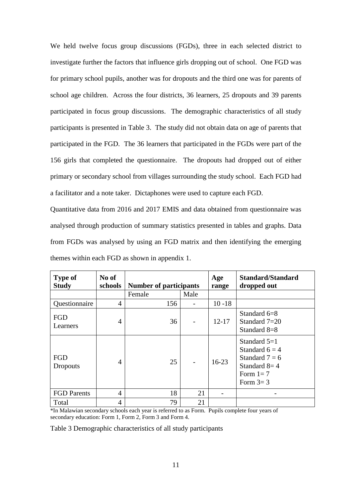We held twelve focus group discussions (FGDs), three in each selected district to investigate further the factors that influence girls dropping out of school. One FGD was for primary school pupils, another was for dropouts and the third one was for parents of school age children. Across the four districts, 36 learners, 25 dropouts and 39 parents participated in focus group discussions. The demographic characteristics of all study participants is presented in Table 3. The study did not obtain data on age of parents that participated in the FGD. The 36 learners that participated in the FGDs were part of the 156 girls that completed the questionnaire. The dropouts had dropped out of either primary or secondary school from villages surrounding the study school. Each FGD had a facilitator and a note taker. Dictaphones were used to capture each FGD.

Quantitative data from 2016 and 2017 EMIS and data obtained from questionnaire was analysed through production of summary statistics presented in tables and graphs. Data from FGDs was analysed by using an FGD matrix and then identifying the emerging themes within each FGD as shown in appendix 1.

| <b>Type of</b><br><b>Study</b> | No of<br>schools | <b>Number of participants</b> |      | Age<br>range | <b>Standard/Standard</b><br>dropped out                                                              |
|--------------------------------|------------------|-------------------------------|------|--------------|------------------------------------------------------------------------------------------------------|
|                                |                  | Female                        | Male |              |                                                                                                      |
| Questionnaire                  | 4                | 156                           |      | $10 - 18$    |                                                                                                      |
| <b>FGD</b><br>Learners         | 4                | 36                            |      | $12 - 17$    | Standard $6=8$<br>Standard 7=20<br>Standard 8=8                                                      |
| <b>FGD</b><br>Dropouts         | 4                | 25                            |      | $16-23$      | Standard $5=1$<br>Standard $6 = 4$<br>Standard $7 = 6$<br>Standard $8=4$<br>Form $1=7$<br>Form $3=3$ |
| <b>FGD</b> Parents             | 4                | 18                            | 21   |              |                                                                                                      |
| Total                          | 4                | 79                            | 21   |              |                                                                                                      |

\*In Malawian secondary schools each year is referred to as Form. Pupils complete four years of secondary education: Form 1, Form 2, Form 3 and Form 4.

Table 3 Demographic characteristics of all study participants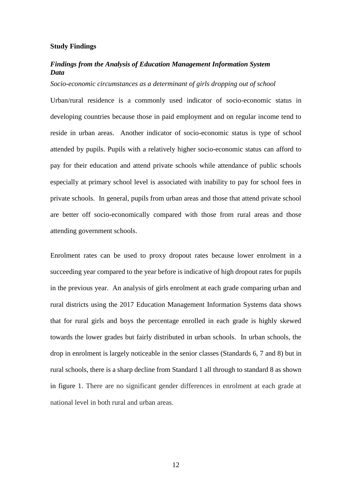#### **Study Findings**

# *Findings from the Analysis of Education Management Information System Data*

#### *Socio-economic circumstances as a determinant of girls dropping out of school*

Urban/rural residence is a commonly used indicator of socio-economic status in developing countries because those in paid employment and on regular income tend to reside in urban areas. Another indicator of socio-economic status is type of school attended by pupils. Pupils with a relatively higher socio-economic status can afford to pay for their education and attend private schools while attendance of public schools especially at primary school level is associated with inability to pay for school fees in private schools. In general, pupils from urban areas and those that attend private school are better off socio-economically compared with those from rural areas and those attending government schools.

Enrolment rates can be used to proxy dropout rates because lower enrolment in a succeeding year compared to the year before is indicative of high dropout rates for pupils in the previous year. An analysis of girls enrolment at each grade comparing urban and rural districts using the 2017 Education Management Information Systems data shows that for rural girls and boys the percentage enrolled in each grade is highly skewed towards the lower grades but fairly distributed in urban schools. In urban schools, the drop in enrolment is largely noticeable in the senior classes (Standards 6, 7 and 8) but in rural schools, there is a sharp decline from Standard 1 all through to standard 8 as shown in figure 1. There are no significant gender differences in enrolment at each grade at national level in both rural and urban areas.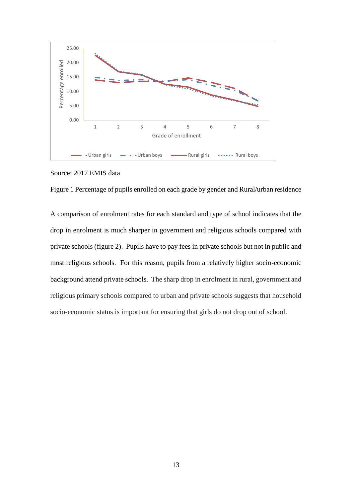

Source: 2017 EMIS data

Figure 1 Percentage of pupils enrolled on each grade by gender and Rural/urban residence

A comparison of enrolment rates for each standard and type of school indicates that the drop in enrolment is much sharper in government and religious schools compared with private schools (figure 2). Pupils have to pay fees in private schools but not in public and most religious schools. For this reason, pupils from a relatively higher socio-economic background attend private schools. The sharp drop in enrolment in rural, government and religious primary schools compared to urban and private schools suggests that household socio-economic status is important for ensuring that girls do not drop out of school.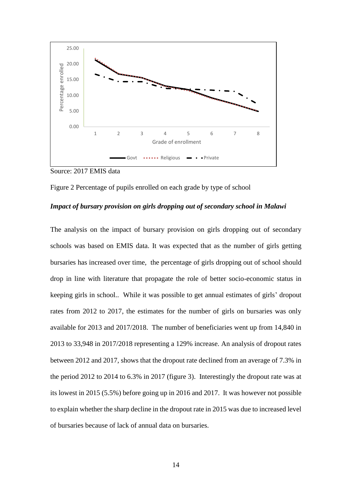

Source: 2017 EMIS data



# *Impact of bursary provision on girls dropping out of secondary school in Malawi*

The analysis on the impact of bursary provision on girls dropping out of secondary schools was based on EMIS data. It was expected that as the number of girls getting bursaries has increased over time, the percentage of girls dropping out of school should drop in line with literature that propagate the role of better socio-economic status in keeping girls in school.. While it was possible to get annual estimates of girls' dropout rates from 2012 to 2017, the estimates for the number of girls on bursaries was only available for 2013 and 2017/2018. The number of beneficiaries went up from 14,840 in 2013 to 33,948 in 2017/2018 representing a 129% increase. An analysis of dropout rates between 2012 and 2017, shows that the dropout rate declined from an average of 7.3% in the period 2012 to 2014 to 6.3% in 2017 (figure 3). Interestingly the dropout rate was at its lowest in 2015 (5.5%) before going up in 2016 and 2017. It was however not possible to explain whether the sharp decline in the dropout rate in 2015 was due to increased level of bursaries because of lack of annual data on bursaries.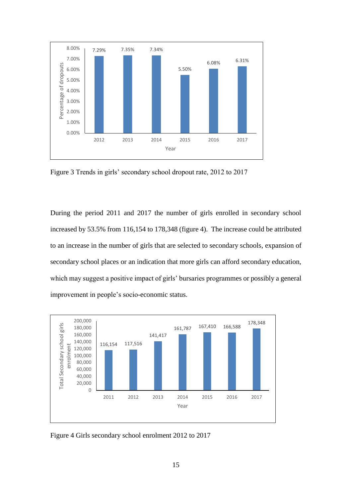

Figure 3 Trends in girls' secondary school dropout rate, 2012 to 2017

During the period 2011 and 2017 the number of girls enrolled in secondary school increased by 53.5% from 116,154 to 178,348 (figure 4). The increase could be attributed to an increase in the number of girls that are selected to secondary schools, expansion of secondary school places or an indication that more girls can afford secondary education, which may suggest a positive impact of girls' bursaries programmes or possibly a general improvement in people's socio-economic status.



Figure 4 Girls secondary school enrolment 2012 to 2017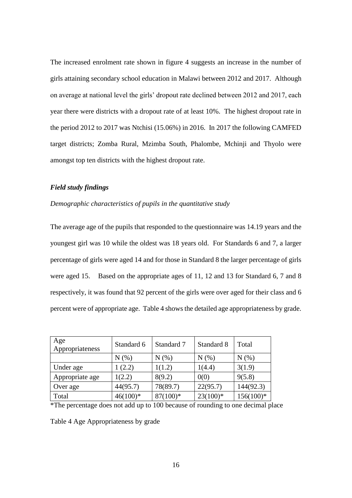The increased enrolment rate shown in figure 4 suggests an increase in the number of girls attaining secondary school education in Malawi between 2012 and 2017. Although on average at national level the girls' dropout rate declined between 2012 and 2017, each year there were districts with a dropout rate of at least 10%. The highest dropout rate in the period 2012 to 2017 was Ntchisi (15.06%) in 2016. In 2017 the following CAMFED target districts; Zomba Rural, Mzimba South, Phalombe, Mchinji and Thyolo were amongst top ten districts with the highest dropout rate.

# *Field study findings*

#### *Demographic characteristics of pupils in the quantitative study*

The average age of the pupils that responded to the questionnaire was 14.19 years and the youngest girl was 10 while the oldest was 18 years old. For Standards 6 and 7, a larger percentage of girls were aged 14 and for those in Standard 8 the larger percentage of girls were aged 15. Based on the appropriate ages of 11, 12 and 13 for Standard 6, 7 and 8 respectively, it was found that 92 percent of the girls were over aged for their class and 6 percent were of appropriate age. Table 4 shows the detailed age appropriateness by grade.

| Age<br>Appropriateness | Standard 6 | Standard 7 | Standard 8 | Total       |
|------------------------|------------|------------|------------|-------------|
|                        | N(% )      | N(% )      | N(% )      | N(% )       |
| Under age              | 1(2.2)     | 1(1.2)     | 1(4.4)     | 3(1.9)      |
| Appropriate age        | 1(2.2)     | 8(9.2)     | 0(0)       | 9(5.8)      |
| Over age               | 44(95.7)   | 78(89.7)   | 22(95.7)   | 144(92.3)   |
| Total                  | $46(100)*$ | $87(100)*$ | $23(100)*$ | $156(100)*$ |

\*The percentage does not add up to 100 because of rounding to one decimal place

Table 4 Age Appropriateness by grade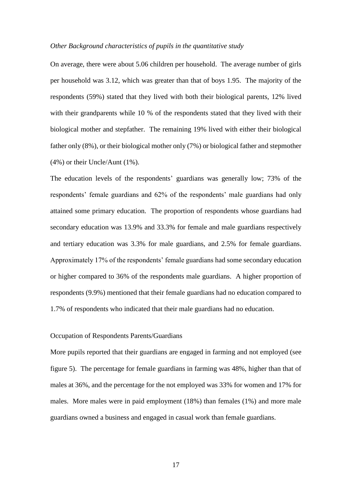#### *Other Background characteristics of pupils in the quantitative study*

On average, there were about 5.06 children per household. The average number of girls per household was 3.12, which was greater than that of boys 1.95. The majority of the respondents (59%) stated that they lived with both their biological parents, 12% lived with their grandparents while 10 % of the respondents stated that they lived with their biological mother and stepfather. The remaining 19% lived with either their biological father only (8%), or their biological mother only (7%) or biological father and stepmother (4%) or their Uncle/Aunt (1%).

The education levels of the respondents' guardians was generally low; 73% of the respondents' female guardians and 62% of the respondents' male guardians had only attained some primary education. The proportion of respondents whose guardians had secondary education was 13.9% and 33.3% for female and male guardians respectively and tertiary education was 3.3% for male guardians, and 2.5% for female guardians. Approximately 17% of the respondents' female guardians had some secondary education or higher compared to 36% of the respondents male guardians. A higher proportion of respondents (9.9%) mentioned that their female guardians had no education compared to 1.7% of respondents who indicated that their male guardians had no education.

# Occupation of Respondents Parents/Guardians

More pupils reported that their guardians are engaged in farming and not employed (see figure 5). The percentage for female guardians in farming was 48%, higher than that of males at 36%, and the percentage for the not employed was 33% for women and 17% for males. More males were in paid employment (18%) than females (1%) and more male guardians owned a business and engaged in casual work than female guardians.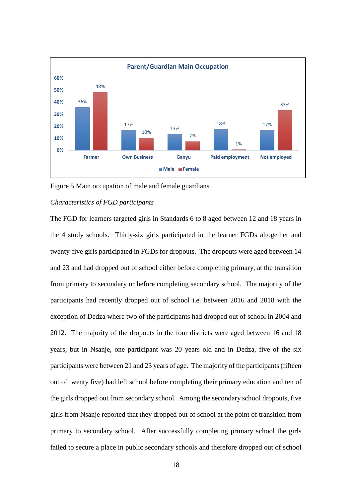

Figure 5 Main occupation of male and female guardians

#### *Characteristics of FGD participants*

The FGD for learners targeted girls in Standards 6 to 8 aged between 12 and 18 years in the 4 study schools. Thirty-six girls participated in the learner FGDs altogether and twenty-five girls participated in FGDs for dropouts. The dropouts were aged between 14 and 23 and had dropped out of school either before completing primary, at the transition from primary to secondary or before completing secondary school. The majority of the participants had recently dropped out of school i.e. between 2016 and 2018 with the exception of Dedza where two of the participants had dropped out of school in 2004 and 2012. The majority of the dropouts in the four districts were aged between 16 and 18 years, but in Nsanje, one participant was 20 years old and in Dedza, five of the six participants were between 21 and 23 years of age. The majority of the participants (fifteen out of twenty five) had left school before completing their primary education and ten of the girls dropped out from secondary school. Among the secondary school dropouts, five girls from Nsanje reported that they dropped out of school at the point of transition from primary to secondary school. After successfully completing primary school the girls failed to secure a place in public secondary schools and therefore dropped out of school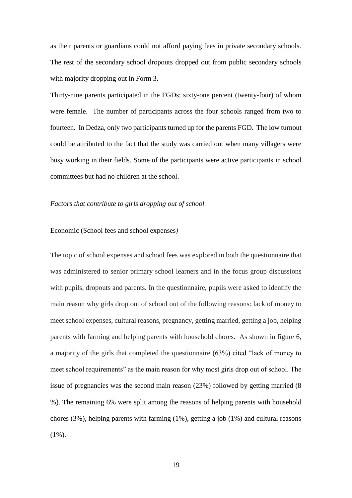as their parents or guardians could not afford paying fees in private secondary schools. The rest of the secondary school dropouts dropped out from public secondary schools with majority dropping out in Form 3.

Thirty-nine parents participated in the FGDs; sixty-one percent (twenty-four) of whom were female. The number of participants across the four schools ranged from two to fourteen. In Dedza, only two participants turned up for the parents FGD. The low turnout could be attributed to the fact that the study was carried out when many villagers were busy working in their fields. Some of the participants were active participants in school committees but had no children at the school.

#### *Factors that contribute to girls dropping out of school*

#### Economic (School fees and school expenses*)*

The topic of school expenses and school fees was explored in both the questionnaire that was administered to senior primary school learners and in the focus group discussions with pupils, dropouts and parents. In the questionnaire, pupils were asked to identify the main reason why girls drop out of school out of the following reasons: lack of money to meet school expenses, cultural reasons, pregnancy, getting married, getting a job, helping parents with farming and helping parents with household chores. As shown in figure 6, a majority of the girls that completed the questionnaire (63%) cited "lack of money to meet school requirements" as the main reason for why most girls drop out of school. The issue of pregnancies was the second main reason (23%) followed by getting married (8 %). The remaining 6% were split among the reasons of helping parents with household chores  $(3\%)$ , helping parents with farming  $(1\%)$ , getting a job  $(1\%)$  and cultural reasons (1%).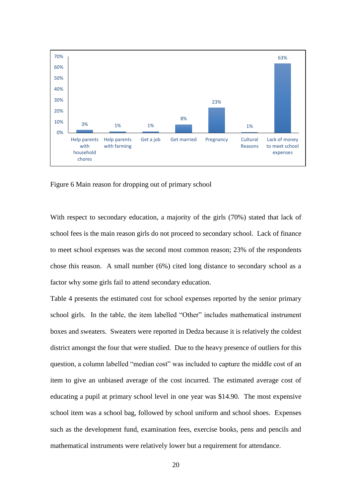

Figure 6 Main reason for dropping out of primary school

With respect to secondary education, a majority of the girls (70%) stated that lack of school fees is the main reason girls do not proceed to secondary school. Lack of finance to meet school expenses was the second most common reason; 23% of the respondents chose this reason. A small number (6%) cited long distance to secondary school as a factor why some girls fail to attend secondary education.

Table 4 presents the estimated cost for school expenses reported by the senior primary school girls. In the table, the item labelled "Other" includes mathematical instrument boxes and sweaters. Sweaters were reported in Dedza because it is relatively the coldest district amongst the four that were studied. Due to the heavy presence of outliers for this question, a column labelled "median cost" was included to capture the middle cost of an item to give an unbiased average of the cost incurred. The estimated average cost of educating a pupil at primary school level in one year was \$14.90. The most expensive school item was a school bag, followed by school uniform and school shoes. Expenses such as the development fund, examination fees, exercise books, pens and pencils and mathematical instruments were relatively lower but a requirement for attendance.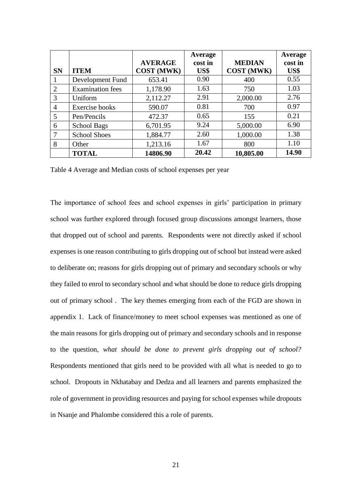|                |                         | <b>AVERAGE</b>    | Average<br>cost in | <b>MEDIAN</b>     | Average<br>cost in |
|----------------|-------------------------|-------------------|--------------------|-------------------|--------------------|
| <b>SN</b>      | <b>ITEM</b>             | <b>COST (MWK)</b> | US\$               | <b>COST (MWK)</b> | US\$               |
|                | Development Fund        | 653.41            | 0.90               | 400               | 0.55               |
| 2              | <b>Examination</b> fees | 1,178.90          | 1.63               | 750               | 1.03               |
| 3              | Uniform                 | 2,112.27          | 2.91               | 2,000.00          | 2.76               |
| $\overline{4}$ | <b>Exercise</b> books   | 590.07            | 0.81               | 700               | 0.97               |
| 5              | Pen/Pencils             | 472.37            | 0.65               | 155               | 0.21               |
| 6              | <b>School Bags</b>      | 6,701.95          | 9.24               | 5,000.00          | 6.90               |
| 7              | <b>School Shoes</b>     | 1,884.77          | 2.60               | 1,000.00          | 1.38               |
| 8              | Other                   | 1,213.16          | 1.67               | 800               | 1.10               |
|                | <b>TOTAL</b>            | 14806.90          | 20.42              | 10,805.00         | 14.90              |

Table 4 Average and Median costs of school expenses per year

The importance of school fees and school expenses in girls' participation in primary school was further explored through focused group discussions amongst learners, those that dropped out of school and parents. Respondents were not directly asked if school expenses is one reason contributing to girls dropping out of school but instead were asked to deliberate on; reasons for girls dropping out of primary and secondary schools or why they failed to enrol to secondary school and what should be done to reduce girls dropping out of primary school . The key themes emerging from each of the FGD are shown in appendix 1. Lack of finance/money to meet school expenses was mentioned as one of the main reasons for girls dropping out of primary and secondary schools and in response to the question, *what should be done to prevent girls dropping out of school?*  Respondents mentioned that girls need to be provided with all what is needed to go to school. Dropouts in Nkhatabay and Dedza and all learners and parents emphasized the role of government in providing resources and paying for school expenses while dropouts in Nsanje and Phalombe considered this a role of parents.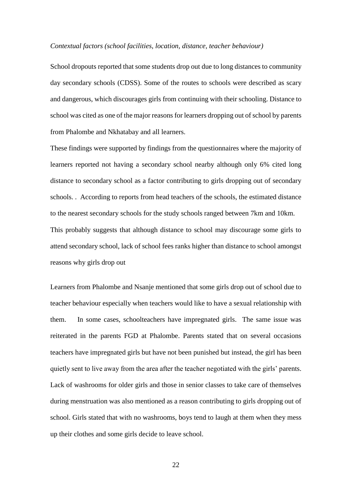#### *Contextual factors (school facilities, location, distance, teacher behaviour)*

School dropouts reported that some students drop out due to long distances to community day secondary schools (CDSS). Some of the routes to schools were described as scary and dangerous, which discourages girls from continuing with their schooling. Distance to school was cited as one of the major reasons for learners dropping out of school by parents from Phalombe and Nkhatabay and all learners.

These findings were supported by findings from the questionnaires where the majority of learners reported not having a secondary school nearby although only 6% cited long distance to secondary school as a factor contributing to girls dropping out of secondary schools. . According to reports from head teachers of the schools, the estimated distance to the nearest secondary schools for the study schools ranged between 7km and 10km. This probably suggests that although distance to school may discourage some girls to attend secondary school, lack of school fees ranks higher than distance to school amongst reasons why girls drop out

Learners from Phalombe and Nsanje mentioned that some girls drop out of school due to teacher behaviour especially when teachers would like to have a sexual relationship with them. In some cases, schoolteachers have impregnated girls. The same issue was reiterated in the parents FGD at Phalombe. Parents stated that on several occasions teachers have impregnated girls but have not been punished but instead, the girl has been quietly sent to live away from the area after the teacher negotiated with the girls' parents. Lack of washrooms for older girls and those in senior classes to take care of themselves during menstruation was also mentioned as a reason contributing to girls dropping out of school. Girls stated that with no washrooms, boys tend to laugh at them when they mess up their clothes and some girls decide to leave school.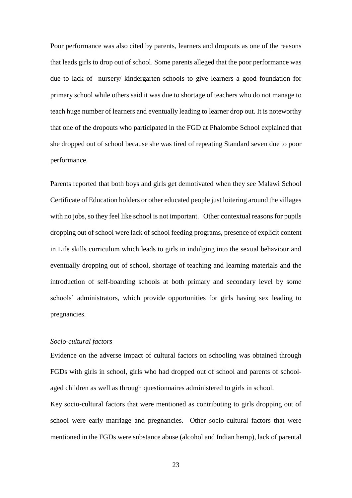Poor performance was also cited by parents, learners and dropouts as one of the reasons that leads girls to drop out of school. Some parents alleged that the poor performance was due to lack of nursery/ kindergarten schools to give learners a good foundation for primary school while others said it was due to shortage of teachers who do not manage to teach huge number of learners and eventually leading to learner drop out. It is noteworthy that one of the dropouts who participated in the FGD at Phalombe School explained that she dropped out of school because she was tired of repeating Standard seven due to poor performance.

Parents reported that both boys and girls get demotivated when they see Malawi School Certificate of Education holders or other educated people just loitering around the villages with no jobs, so they feel like school is not important. Other contextual reasons for pupils dropping out of school were lack of school feeding programs, presence of explicit content in Life skills curriculum which leads to girls in indulging into the sexual behaviour and eventually dropping out of school, shortage of teaching and learning materials and the introduction of self-boarding schools at both primary and secondary level by some schools' administrators, which provide opportunities for girls having sex leading to pregnancies.

# *Socio-cultural factors*

Evidence on the adverse impact of cultural factors on schooling was obtained through FGDs with girls in school, girls who had dropped out of school and parents of schoolaged children as well as through questionnaires administered to girls in school.

Key socio-cultural factors that were mentioned as contributing to girls dropping out of school were early marriage and pregnancies. Other socio-cultural factors that were mentioned in the FGDs were substance abuse (alcohol and Indian hemp), lack of parental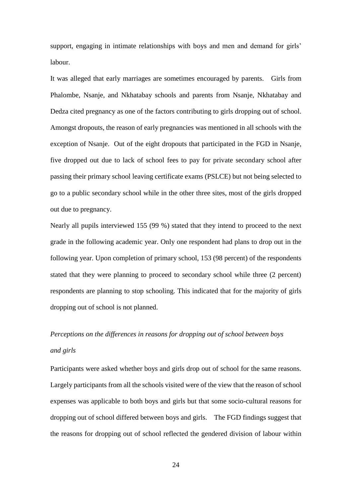support, engaging in intimate relationships with boys and men and demand for girls' labour.

It was alleged that early marriages are sometimes encouraged by parents. Girls from Phalombe, Nsanje, and Nkhatabay schools and parents from Nsanje, Nkhatabay and Dedza cited pregnancy as one of the factors contributing to girls dropping out of school. Amongst dropouts, the reason of early pregnancies was mentioned in all schools with the exception of Nsanje. Out of the eight dropouts that participated in the FGD in Nsanje, five dropped out due to lack of school fees to pay for private secondary school after passing their primary school leaving certificate exams (PSLCE) but not being selected to go to a public secondary school while in the other three sites, most of the girls dropped out due to pregnancy.

Nearly all pupils interviewed 155 (99 %) stated that they intend to proceed to the next grade in the following academic year. Only one respondent had plans to drop out in the following year. Upon completion of primary school, 153 (98 percent) of the respondents stated that they were planning to proceed to secondary school while three (2 percent) respondents are planning to stop schooling. This indicated that for the majority of girls dropping out of school is not planned.

# *Perceptions on the differences in reasons for dropping out of school between boys and girls*

Participants were asked whether boys and girls drop out of school for the same reasons. Largely participants from all the schools visited were of the view that the reason of school expenses was applicable to both boys and girls but that some socio-cultural reasons for dropping out of school differed between boys and girls. The FGD findings suggest that the reasons for dropping out of school reflected the gendered division of labour within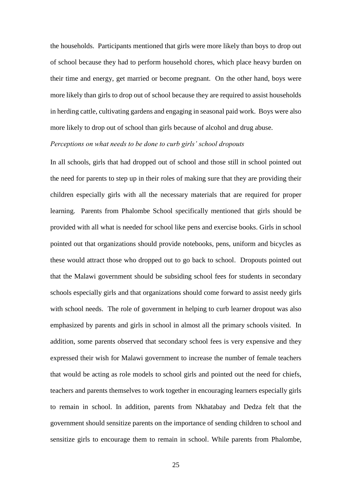the households. Participants mentioned that girls were more likely than boys to drop out of school because they had to perform household chores, which place heavy burden on their time and energy, get married or become pregnant. On the other hand, boys were more likely than girls to drop out of school because they are required to assist households in herding cattle, cultivating gardens and engaging in seasonal paid work. Boys were also more likely to drop out of school than girls because of alcohol and drug abuse.

# *Perceptions on what needs to be done to curb girls' school dropouts*

In all schools, girls that had dropped out of school and those still in school pointed out the need for parents to step up in their roles of making sure that they are providing their children especially girls with all the necessary materials that are required for proper learning. Parents from Phalombe School specifically mentioned that girls should be provided with all what is needed for school like pens and exercise books. Girls in school pointed out that organizations should provide notebooks, pens, uniform and bicycles as these would attract those who dropped out to go back to school. Dropouts pointed out that the Malawi government should be subsiding school fees for students in secondary schools especially girls and that organizations should come forward to assist needy girls with school needs. The role of government in helping to curb learner dropout was also emphasized by parents and girls in school in almost all the primary schools visited. In addition, some parents observed that secondary school fees is very expensive and they expressed their wish for Malawi government to increase the number of female teachers that would be acting as role models to school girls and pointed out the need for chiefs, teachers and parents themselves to work together in encouraging learners especially girls to remain in school. In addition, parents from Nkhatabay and Dedza felt that the government should sensitize parents on the importance of sending children to school and sensitize girls to encourage them to remain in school. While parents from Phalombe,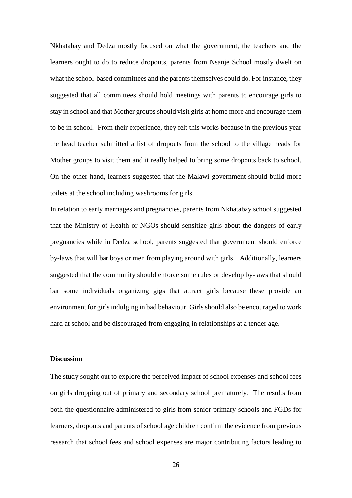Nkhatabay and Dedza mostly focused on what the government, the teachers and the learners ought to do to reduce dropouts, parents from Nsanje School mostly dwelt on what the school-based committees and the parents themselves could do. For instance, they suggested that all committees should hold meetings with parents to encourage girls to stay in school and that Mother groups should visit girls at home more and encourage them to be in school. From their experience, they felt this works because in the previous year the head teacher submitted a list of dropouts from the school to the village heads for Mother groups to visit them and it really helped to bring some dropouts back to school. On the other hand, learners suggested that the Malawi government should build more toilets at the school including washrooms for girls.

In relation to early marriages and pregnancies, parents from Nkhatabay school suggested that the Ministry of Health or NGOs should sensitize girls about the dangers of early pregnancies while in Dedza school, parents suggested that government should enforce by-laws that will bar boys or men from playing around with girls. Additionally, learners suggested that the community should enforce some rules or develop by-laws that should bar some individuals organizing gigs that attract girls because these provide an environment for girls indulging in bad behaviour. Girls should also be encouraged to work hard at school and be discouraged from engaging in relationships at a tender age.

#### **Discussion**

The study sought out to explore the perceived impact of school expenses and school fees on girls dropping out of primary and secondary school prematurely. The results from both the questionnaire administered to girls from senior primary schools and FGDs for learners, dropouts and parents of school age children confirm the evidence from previous research that school fees and school expenses are major contributing factors leading to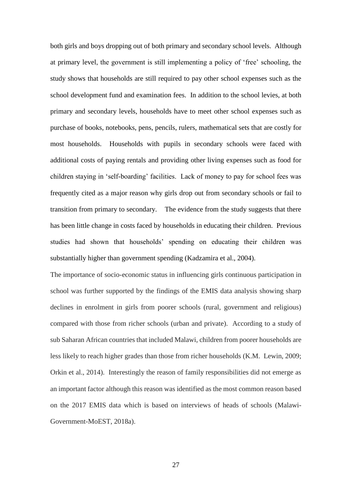both girls and boys dropping out of both primary and secondary school levels. Although at primary level, the government is still implementing a policy of 'free' schooling, the study shows that households are still required to pay other school expenses such as the school development fund and examination fees. In addition to the school levies, at both primary and secondary levels, households have to meet other school expenses such as purchase of books, notebooks, pens, pencils, rulers, mathematical sets that are costly for most households. Households with pupils in secondary schools were faced with additional costs of paying rentals and providing other living expenses such as food for children staying in 'self-boarding' facilities. Lack of money to pay for school fees was frequently cited as a major reason why girls drop out from secondary schools or fail to transition from primary to secondary. The evidence from the study suggests that there has been little change in costs faced by households in educating their children. Previous studies had shown that households' spending on educating their children was substantially higher than government spending [\(Kadzamira et al., 2004\)](#page-30-13).

The importance of socio-economic status in influencing girls continuous participation in school was further supported by the findings of the EMIS data analysis showing sharp declines in enrolment in girls from poorer schools (rural, government and religious) compared with those from richer schools (urban and private). According to a study of sub Saharan African countries that included Malawi, children from poorer households are less likely to reach higher grades than those from richer households [\(K.M. Lewin, 2009;](#page-30-14) [Orkin et al., 2014\)](#page-31-3). Interestingly the reason of family responsibilities did not emerge as an important factor although this reason was identified as the most common reason based on the 2017 EMIS data which is based on interviews of heads of schools [\(Malawi-](#page-30-0)[Government-MoEST, 2018a\)](#page-30-0).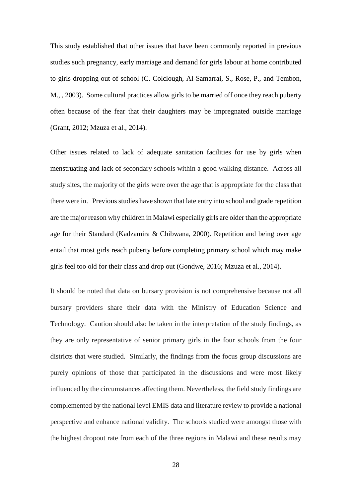This study established that other issues that have been commonly reported in previous studies such pregnancy, early marriage and demand for girls labour at home contributed to girls dropping out of school [\(C. Colclough, Al-Samarrai, S., Rose, P., and Tembon,](#page-29-12)  [M., , 2003\)](#page-29-12). Some cultural practices allow girls to be married off once they reach puberty often because of the fear that their daughters may be impregnated outside marriage [\(Grant, 2012;](#page-29-7) [Mzuza et al., 2014\)](#page-30-1).

Other issues related to lack of adequate sanitation facilities for use by girls when menstruating and lack of secondary schools within a good walking distance. Across all study sites, the majority of the girls were over the age that is appropriate for the class that there were in. Previous studies have shown that late entry into school and grade repetition are the major reason why children in Malawi especially girls are older than the appropriate age for their Standard [\(Kadzamira & Chibwana, 2000\)](#page-30-15). Repetition and being over age entail that most girls reach puberty before completing primary school which may make girls feel too old for their class and drop out [\(Gondwe, 2016;](#page-29-0) [Mzuza et al., 2014\)](#page-30-1).

It should be noted that data on bursary provision is not comprehensive because not all bursary providers share their data with the Ministry of Education Science and Technology. Caution should also be taken in the interpretation of the study findings, as they are only representative of senior primary girls in the four schools from the four districts that were studied. Similarly, the findings from the focus group discussions are purely opinions of those that participated in the discussions and were most likely influenced by the circumstances affecting them. Nevertheless, the field study findings are complemented by the national level EMIS data and literature review to provide a national perspective and enhance national validity. The schools studied were amongst those with the highest dropout rate from each of the three regions in Malawi and these results may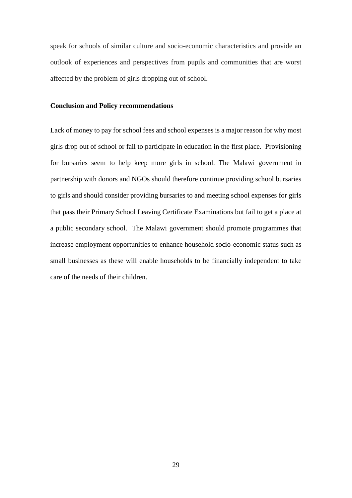speak for schools of similar culture and socio-economic characteristics and provide an outlook of experiences and perspectives from pupils and communities that are worst affected by the problem of girls dropping out of school.

#### **Conclusion and Policy recommendations**

Lack of money to pay for school fees and school expenses is a major reason for why most girls drop out of school or fail to participate in education in the first place. Provisioning for bursaries seem to help keep more girls in school. The Malawi government in partnership with donors and NGOs should therefore continue providing school bursaries to girls and should consider providing bursaries to and meeting school expenses for girls that pass their Primary School Leaving Certificate Examinations but fail to get a place at a public secondary school. The Malawi government should promote programmes that increase employment opportunities to enhance household socio-economic status such as small businesses as these will enable households to be financially independent to take care of the needs of their children.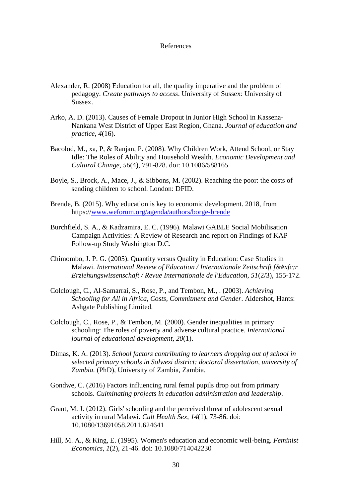#### References

- <span id="page-29-5"></span>Alexander, R. (2008) Education for all, the quality imperative and the problem of pedagogy. *Create pathways to access*. University of Sussex: University of Sussex.
- <span id="page-29-1"></span>Arko, A. D. (2013). Causes of Female Dropout in Junior High School in Kassena-Nankana West District of Upper East Region, Ghana. *Journal of education and practice, 4*(16).
- <span id="page-29-2"></span>Bacolod, M., xa, P, & Ranjan, P. (2008). Why Children Work, Attend School, or Stay Idle: The Roles of Ability and Household Wealth. *Economic Development and Cultural Change, 56*(4), 791-828. doi: 10.1086/588165
- <span id="page-29-8"></span>Boyle, S., Brock, A., Mace, J., & Sibbons, M. (2002). Reaching the poor: the costs of sending children to school. London: DFID.
- <span id="page-29-9"></span>Brende, B. (2015). Why education is key to economic development. 2018, from https:/[/www.weforum.org/agenda/authors/borge-brende](http://www.weforum.org/agenda/authors/borge-brende)
- <span id="page-29-11"></span>Burchfield, S. A., & Kadzamira, E. C. (1996). Malawi GABLE Social Mobilisation Campaign Activities: A Review of Research and report on Findings of KAP Follow-up Study Washington D.C.
- <span id="page-29-4"></span>Chimombo, J. P. G. (2005). Quantity versus Quality in Education: Case Studies in Malawi. *International Review of Education / Internationale Zeitschrift für Erziehungswissenschaft / Revue Internationale de l'Education, 51*(2/3), 155-172.
- <span id="page-29-12"></span>Colclough, C., Al-Samarrai, S., Rose, P., and Tembon, M., . (2003). *Achieving Schooling for All in Africa, Costs, Commitment and Gender*. Aldershot, Hants: Ashgate Publishing Limited.
- <span id="page-29-6"></span>Colclough, C., Rose, P., & Tembon, M. (2000). Gender inequalities in primary schooling: The roles of poverty and adverse cultural practice. *International journal of educational development, 20*(1).
- <span id="page-29-3"></span>Dimas, K. A. (2013). *School factors contributing to learners dropping out of school in selected primary schools in Solwezi district: doctoral dissertation, university of Zambia.* (PhD), University of Zambia, Zambia.
- <span id="page-29-0"></span>Gondwe, C. (2016) Factors influencing rural femal pupils drop out from primary schools. *Culminating projects in education administration and leadership*.
- <span id="page-29-7"></span>Grant, M. J. (2012). Girls' schooling and the perceived threat of adolescent sexual activity in rural Malawi. *Cult Health Sex, 14*(1), 73-86. doi: 10.1080/13691058.2011.624641
- <span id="page-29-10"></span>Hill, M. A., & King, E. (1995). Women's education and economic well-being. *Feminist Economics, 1*(2), 21-46. doi: 10.1080/714042230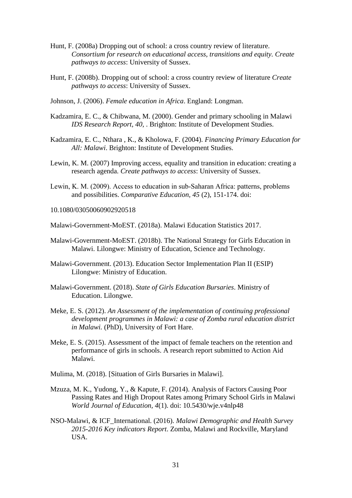- <span id="page-30-2"></span>Hunt, F. (2008a) Dropping out of school: a cross country review of literature. *Consortium for research on educational access, transitions and equity. Create pathways to access*: University of Sussex.
- <span id="page-30-6"></span>Hunt, F. (2008b). Dropping out of school: a cross country review of literature *Create pathways to access*: University of Sussex.
- <span id="page-30-9"></span>Johnson, J. (2006). *Female education in Africa*. England: Longman.
- <span id="page-30-15"></span>Kadzamira, E. C., & Chibwana, M. (2000). Gender and primary schooling in Malawi *IDS Research Report, 40,* . Brighton: Institute of Development Studies.
- <span id="page-30-13"></span>Kadzamira, E. C., Nthara , K., & Kholowa, F. (2004). *Financing Primary Education for All: Malawi*. Brighton: Institute of Development Studies.
- <span id="page-30-3"></span>Lewin, K. M. (2007) Improving access, equality and transition in education: creating a research agenda. *Create pathways to access*: University of Sussex.
- <span id="page-30-14"></span>Lewin, K. M. (2009). Access to education in sub‐Saharan Africa: patterns, problems and possibilities. *Comparative Education, 45* (2), 151-174. doi:
- <span id="page-30-0"></span>10.1080/03050060902920518
- <span id="page-30-7"></span>Malawi-Government-MoEST. (2018a). Malawi Education Statistics 2017.
- Malawi-Government-MoEST. (2018b). The National Strategy for Girls Education in Malawi. Lilongwe: Ministry of Education, Science and Technology.
- <span id="page-30-11"></span>Malawi-Government. (2013). Education Sector Implementation Plan II (ESIP) Lilongwe: Ministry of Education.
- <span id="page-30-10"></span>Malawi-Government. (2018). *State of Girls Education Bursaries*. Ministry of Education. Lilongwe.
- <span id="page-30-4"></span>Meke, E. S. (2012). *An Assessment of the implementation of continuing professional development programmes in Malawi: a case of Zomba rural education district in Malawi.* (PhD), University of Fort Hare.
- <span id="page-30-5"></span>Meke, E. S. (2015). Assessment of the impact of female teachers on the retention and performance of girls in schools. A research report submitted to Action Aid Malawi.
- <span id="page-30-12"></span><span id="page-30-1"></span>Mulima, M. (2018). [Situation of Girls Bursaries in Malawi].
- Mzuza, M. K., Yudong, Y., & Kapute, F. (2014). Analysis of Factors Causing Poor Passing Rates and High Dropout Rates among Primary School Girls in Malawi *World Journal of Education, 4*(1). doi: 10.5430/wje.v4nlp48
- <span id="page-30-8"></span>NSO-Malawi, & ICF\_International. (2016). *Malawi Demographic and Health Survey 2015-2016 Key indicators Report*. Zomba, Malawi and Rockville, Maryland USA.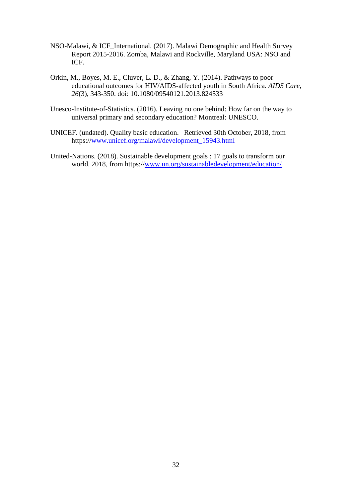- <span id="page-31-2"></span>NSO-Malawi, & ICF\_International. (2017). Malawi Demographic and Health Survey Report 2015-2016. Zomba, Malawi and Rockville, Maryland USA: NSO and ICF.
- <span id="page-31-3"></span>Orkin, M., Boyes, M. E., Cluver, L. D., & Zhang, Y. (2014). Pathways to poor educational outcomes for HIV/AIDS-affected youth in South Africa. *AIDS Care, 26*(3), 343-350. doi: 10.1080/09540121.2013.824533
- <span id="page-31-1"></span>Unesco-Institute-of-Statistics. (2016). Leaving no one behind: How far on the way to universal primary and secondary education? Montreal: UNESCO.
- <span id="page-31-0"></span>UNICEF. (undated). Quality basic education. Retrieved 30th October, 2018, from https:/[/www.unicef.org/malawi/development\\_15943.html](http://www.unicef.org/malawi/development_15943.html)
- <span id="page-31-4"></span>United-Nations. (2018). Sustainable development goals : 17 goals to transform our world. 2018, from https:/[/www.un.org/sustainabledevelopment/education/](http://www.un.org/sustainabledevelopment/education/)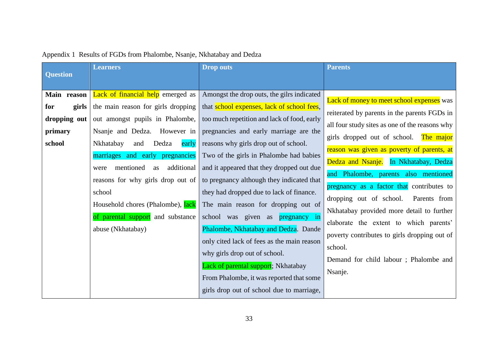| <b>Question</b> | <b>Learners</b>                       | <b>Drop outs</b>                            | <b>Parents</b>                                   |
|-----------------|---------------------------------------|---------------------------------------------|--------------------------------------------------|
|                 |                                       |                                             |                                                  |
| Main reason     | Lack of financial help emerged as     | Amongst the drop outs, the gilrs indicated  | <b>Lack of money to meet school expenses</b> was |
| for<br>girls    | the main reason for girls dropping    | that school expenses, lack of school fees,  | reiterated by parents in the parents FGDs in     |
| dropping out    | out amongst pupils in Phalombe,       | too much repetition and lack of food, early | all four study sites as one of the reasons why   |
| primary         | Nsanje and Dedza. However in          | pregnancies and early marriage are the      | girls dropped out of school.<br>The major        |
| school          | Dedza<br>Nkhatabay<br>and<br>early    | reasons why girls drop out of school.       | reason was given as poverty of parents, at       |
|                 | marriages and early pregnancies       | Two of the girls in Phalombe had babies     | Dedza and Nsanje.<br>In Nkhatabay, Dedza         |
|                 | additional<br>mentioned<br>as<br>were | and it appeared that they dropped out due   | and Phalombe, parents also mentioned             |
|                 | reasons for why girls drop out of     | to pregnancy although they indicated that   | pregnancy as a factor that contributes to        |
|                 | school                                | they had dropped due to lack of finance.    | dropping out of school.<br>Parents from          |
|                 | Household chores (Phalombe), lack     | The main reason for dropping out of         | Nkhatabay provided more detail to further        |
|                 | of parental support and substance     | school was given as <b>pregnancy</b> in     | elaborate the extent to which parents'           |
|                 | abuse (Nkhatabay)                     | Phalombe, Nkhatabay and Dedza. Dande        | poverty contributes to girls dropping out of     |
|                 |                                       | only cited lack of fees as the main reason  | school.                                          |
|                 |                                       | why girls drop out of school.               |                                                  |
|                 |                                       | Lack of parental support; Nkhatabay         | Demand for child labour; Phalombe and            |
|                 |                                       | From Phalombe, it was reported that some    | Nsanje.                                          |
|                 |                                       | girls drop out of school due to marriage,   |                                                  |

# Appendix 1 Results of FGDs from Phalombe, Nsanje, Nkhatabay and Dedza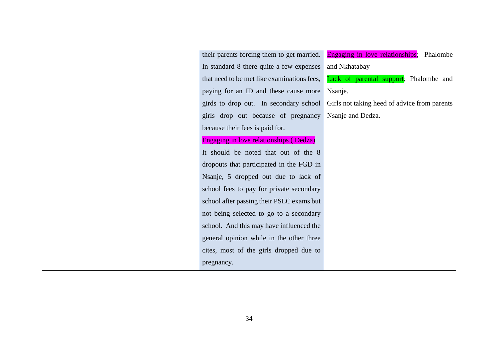| their parents forcing them to get married.  | Engaging in love relationships; Phalombe     |
|---------------------------------------------|----------------------------------------------|
| In standard 8 there quite a few expenses    | and Nkhatabay                                |
| that need to be met like examinations fees, | Lack of parental support; Phalombe and       |
| paying for an ID and these cause more       | Nsanje.                                      |
| girds to drop out. In secondary school      | Girls not taking heed of advice from parents |
| girls drop out because of pregnancy         | Nsanje and Dedza.                            |
| because their fees is paid for.             |                                              |
| Engaging in love relationships (Dedza)      |                                              |
| It should be noted that out of the 8        |                                              |
| dropouts that participated in the FGD in    |                                              |
| Nsanje, 5 dropped out due to lack of        |                                              |
| school fees to pay for private secondary    |                                              |
| school after passing their PSLC exams but   |                                              |
| not being selected to go to a secondary     |                                              |
| school. And this may have influenced the    |                                              |
| general opinion while in the other three    |                                              |
| cites, most of the girls dropped due to     |                                              |
| pregnancy.                                  |                                              |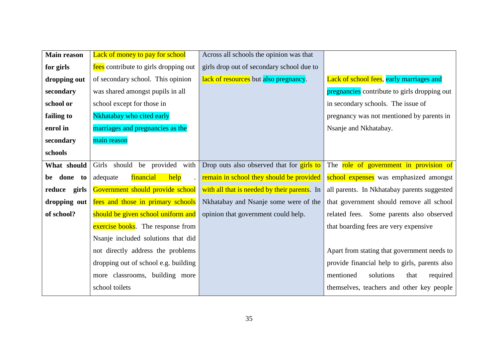| <b>Main reason</b> | Lack of money to pay for school       | Across all schools the opinion was that      |                                               |
|--------------------|---------------------------------------|----------------------------------------------|-----------------------------------------------|
| for girls          | fees contribute to girls dropping out | girls drop out of secondary school due to    |                                               |
| dropping out       | of secondary school. This opinion     | lack of resources but also pregnancy.        | Lack of school fees, early marriages and      |
| secondary          | was shared amongst pupils in all      |                                              | pregnancies contribute to girls dropping out  |
| school or          | school except for those in            |                                              | in secondary schools. The issue of            |
| failing to         | Nkhatabay who cited early             |                                              | pregnancy was not mentioned by parents in     |
| enrol in           | marriages and pregnancies as the      |                                              | Nsanje and Nkhatabay.                         |
| secondary          | main reason                           |                                              |                                               |
| schools            |                                       |                                              |                                               |
| What should        | Girls should be provided with         | Drop outs also observed that for girls to    | The role of government in provision of        |
|                    |                                       |                                              |                                               |
| done<br>be<br>to   | help<br>financial<br>adequate         | remain in school they should be provided     | school expenses was emphasized amongst        |
| reduce girls       | Government should provide school      | with all that is needed by their parents. In | all parents. In Nkhatabay parents suggested   |
| dropping out       | fees and those in primary schools     | Nkhatabay and Nsanje some were of the        | that government should remove all school      |
| of school?         | should be given school uniform and    | opinion that government could help.          | related fees. Some parents also observed      |
|                    | exercise books. The response from     |                                              | that boarding fees are very expensive         |
|                    | Nsanje included solutions that did    |                                              |                                               |
|                    | not directly address the problems     |                                              | Apart from stating that government needs to   |
|                    | dropping out of school e.g. building  |                                              | provide financial help to girls, parents also |
|                    | more classrooms, building more        |                                              | mentioned<br>solutions<br>that<br>required    |
|                    | school toilets                        |                                              | themselves, teachers and other key people     |